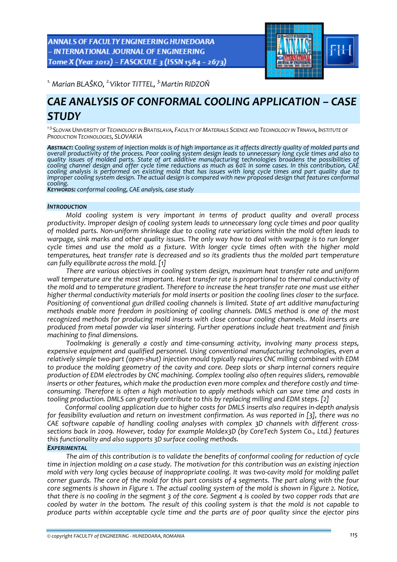**ANNALS OF FACULTY ENGINEERING HUNEDOARA** - INTERNATIONAL JOURNAL OF ENGINEERING Tome X (Year 2012) - FASCICULE 3 (ISSN 1584 - 2673)



*1. Marian BLAŠKO, 2.Viktor TITTEL, 3.Martin RIDZOŇ* 

# *CAE ANALYSIS OF CONFORMAL COOLING APPLICATION – CASE STUDY*

<sup>1-3.</sup> SLOVAK UNIVERSITY OF TECHNOLOGY IN BRATISLAVA, FACULTY OF MATERIALS SCIENCE AND TECHNOLOGY IN TRNAVA, INSTITUTE OF *PRODUCTION TECHNOLOGIES, SLOVAKIA*

**ABSTRACT:** Cooling system of injection molds is of high importance as it affects directly quality of molded parts and overall productivity of the process. Poor cooling system design leads to unnecessary long cycle times and also to quality issues of molded parts. State of art additive manufacturing technologies broadens the possibilities of<br>cooling channel design and offer cycle time reductions as much as 60% in some cases. In this contribution, CAE cooling channel design and offer cycle time reductions as much as 60% in some cases. In this contribution, CAE<br>cooling analysis is performed on existing mold that has issues with long cycle times and part quality due to improper cooling system design. The actual design is compared with new proposed design that features conformal<br>cooling.<br>Keywords: conformal cooling, CAE analysis, case study

#### *INTRODUCTION*

*Mold cooling system is very important in terms of product quality and overall process productivity. Improper design of cooling system leads to unnecessary long cycle times and poor quality* of molded parts. Non-uniform shrinkage due to cooling rate variations within the mold often leads to warpage, sink marks and other quality issues. The only way how to deal with warpage is to run longer *cycle times and use the mold as a fixture. With longer cycle times often with the higher mold temperatures, heat transfer rate is decreased and so its gradients thus the molded part temperature can fully equilibrate across the mold. [1]*

*There are various objectives in cooling system design, maximum heat transfer rate and uniform wall temperature are the most important. Heat transfer rate is proportional to thermal conductivity of the mold and to temperature gradient. Therefore to increase the heat transfer rate one must use either higher thermal conductivity materials for mold inserts or position the cooling lines closer to the surface. Positioning of conventional gun drilled cooling channels is limited. State of art additive manufacturing methods enable more freedom in positioning of cooling channels. DMLS method is one of the most recognized methods for producing mold inserts with close contour cooling channels.. Mold inserts are produced from metal powder via laser sintering. Further operations include heat treatment and finish machining to final dimensions.* 

*Toolmaking is generally a costly and time‐consuming activity, involving many process steps, expensive equipment and qualified personnel. Using conventional manufacturing technologies, even a relatively simple two‐part (open‐shut) injection mould typically requires CNC milling combined with EDM to produce the molding geometry of the cavity and core. Deep slots or sharp internal corners require production of EDM electrodes by CNC machining. Complex tooling also often requires sliders, removable inserts or other features, which make the production even more complex and therefore costly and time‐ consuming. Therefore is often a high motivation to apply methods which can save time and costs in tooling production. DMLS can greatly contribute to this by replacing milling and EDM steps. [2]*

*Conformal cooling application due to higher costs for DMLS inserts also requires in‐depth analysis for feasibility evaluation and return on investment confirmation. As was reported in [3], there was no CAE software capable of handling cooling analyses with complex 3D channels with different cross‐ sections back in 2009. However, today for example Moldex3D (by CoreTech System Co., Ltd.) features this functionality and also supports 3D surface cooling methods.*

## *EXPERIMENTAL*

*The aim of this contribution is to validate the benefits of conformal cooling for reduction of cycle time in injection molding on a case study. The motivation for this contribution was an existing injection* mold with very long cycles because of inappropriate cooling. It was two-cavity mold for molding pallet corner guards. The core of the mold for this part consists of 4 segments. The part along with the four core segments is shown in Figure 1. The actual cooling system of the mold is shown in Figure 2. Notice, that there is no cooling in the segment 3 of the core. Segment 4 is cooled by two copper rods that are cooled by water in the bottom. The result of this cooling system is that the mold is not capable to *produce parts within acceptable cycle time and the parts are of poor quality since the ejector pins*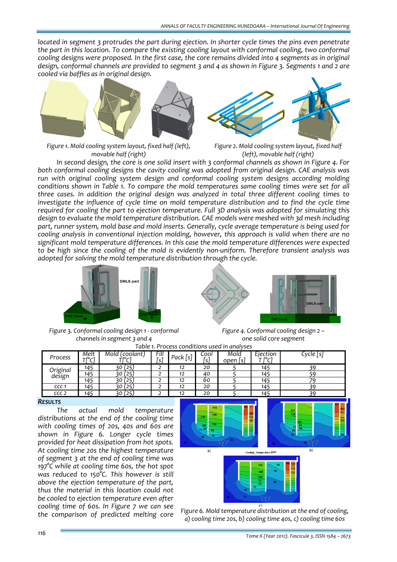*located in segment 3 protrudes the part during ejection. In shorter cycle times the pins even penetrate the part in this location. To compare the existing cooling layout with conformal cooling, two conformal* cooling designs were proposed. In the first case, the core remains divided into 4 segments as in original design, conformal channels are provided to segment 3 and 4 as shown in Figure 3. Segments 1 and 2 are *cooled via baffles as in original design.*



*Figure 1. Mold cooling system layout, fixed half (left), movable half (right)*

*Figure 2. Mold cooling system layout, fixed half (left), movable half (right)*

In second design, the core is one solid insert with 3 conformal channels as shown in Figure 4. For *both conformal cooling designs the cavity cooling was adopted from original design. CAE analysis was run with original cooling system design and conformal cooling system designs according molding conditions shown in Table 1. To compare the mold temperatures same cooling times were set for all three cases. In addition the original design was analyzed in total three different cooling times to investigate the influence of cycle time on mold temperature distribution and to find the cycle time required for cooling the part to ejection temperature. Full 3D analysis was adopted for simulating this design to evaluate the mold temperature distribution. CAE models were meshed with 3d mesh including part, runner system, mold base and mold inserts. Generally, cycle average temperature is being used for cooling analysis in conventional injection molding, however, this approach is valid when there are no significant mold temperature differences. In this case the mold temperature differences were expected* to be high since the cooling of the mold is evidently non-uniform. Therefore transient analysis was *adopted for solving the mold temperature distribution through the cycle.* 



*Figure 3. Conformal cooling design 1 ‐ conformal channels in segment 3 and 4*

*Figure 4. Conformal cooling design 2 – one solid core segment*

| Table 1. Process conditions used in analyses |               |                         |             |            |             |                  |                     |           |
|----------------------------------------------|---------------|-------------------------|-------------|------------|-------------|------------------|---------------------|-----------|
| Process                                      | Melt<br>Treci | Mold (coolant)<br>$  -$ | Fill<br>[s] | Pack $[s]$ | Cool<br>[s' | Mold<br>open [s] | Ejection<br>$-10-1$ | Cycle   s |
| Original<br>design                           | 145           | (25                     |             | 12         | 20          |                  | 145                 |           |
|                                              | 145           | (25                     |             | 12         | 40          |                  | 145                 |           |
|                                              | 145           | (25                     |             | 12         | 60          |                  | 145                 |           |
| CCC <sub>1</sub>                             | 145           | (25)                    |             | 12         | 20          |                  | 145                 | 20        |
| CCC <sub>2</sub>                             | 145           |                         |             | 12         | 20          |                  | 145                 | 20        |

### *RESULTS*

*The actual mold temperature distributions at the end of the cooling time with cooling times of 20s, 40s and 60s are shown in Figure 6. Longer cycle times provided for heat dissipation from hot spots. At cooling time 20s the highest temperature of segment 3 at the end of cooling time was 197°C while at cooling time 60s, the hot spot was reduced to 150°C. This however is still above the ejection temperature of the part, thus the material in this location could not be cooled to ejection temperature even after cooling time of 60s. In Figure 7 we can see*



*the comparison of predicted melting core Figure 6. Mold temperature distribution at the end of cooling, a) cooling time 20s, b) cooling time 40s, c) cooling time 60s*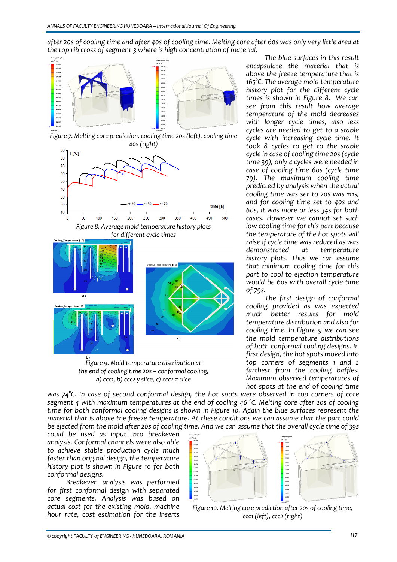after 20s of cooling time and after 40s of cooling time. Melting core after 60s was only very little area at *the top rib cross of segment 3 where is high concentration of material.* 



*Figure 7. Melting core prediction, cooling time 20s (left), cooling time 40s (right)*





*Figure 9. Mold temperature distribution at the end of cooling time 20s – conformal cooling, a) ccc1, b) ccc2 y slice, c) ccc2 z slice*

*The blue surfaces in this result encapsulate the material that is above the freeze temperature that is 165°C. The average mold temperature history plot for the different cycle times is shown in Figure 8. We can see from this result how average temperature of the mold decreases with longer cycle times, also less cycles are needed to get to a stable cycle with increasing cycle time. It took 8 cycles to get to the stable cycle in case of cooling time 20s (cycle time 39), only 4 cycles were needed in case of cooling time 60s (cycle time 79). The maximum cooling time predicted by analysis when the actual cooling time was set to 20s was 111s, and for cooling time set to 40s and 60s, it was more or less 34s for both cases. However we cannot set such low cooling time for this part because the temperature of the hot spots will raise if cycle time was reduced as was demonstrated at temperature history plots. Thus we can assume that minimum cooling time for this part to cool to ejection temperature would be 60s with overall cycle time of 79s.*

*The first design of conformal cooling provided as was expected much better results for mold temperature distribution and also for cooling time. In Figure 9 we can see the mold temperature distributions of both conformal cooling designs. In first design, the hot spots moved into top corners of segments 1 and 2 farthest from the cooling baffles. Maximum observed temperatures of hot spots at the end of cooling time*

*was 74°C. In case of second conformal design, the hot spots were observed in top corners of core segment 4 with maximum temperatures at the end of cooling 46 °C. Melting core after 20s of cooling time for both conformal cooling designs is shown in Figure 10. Again the blue surfaces represent the material that is above the freeze temperature. At these conditions we can assume that the part could* be ejected from the mold after 20s of cooling time. And we can assume that the overall cycle time of 39s

*could be used as input into breakeven analysis. Conformal channels were also able to achieve stable production cycle much faster than original design, the temperature history plot is shown in Figure 10 for both conformal designs.* 

*Breakeven analysis was performed for first conformal design with separated core segments. Analysis was based on actual cost for the existing mold, machine hour rate, cost estimation for the inserts*



*Figure 10. Melting core prediction after 20s of cooling time, ccc1 (left), ccc2 (right)*